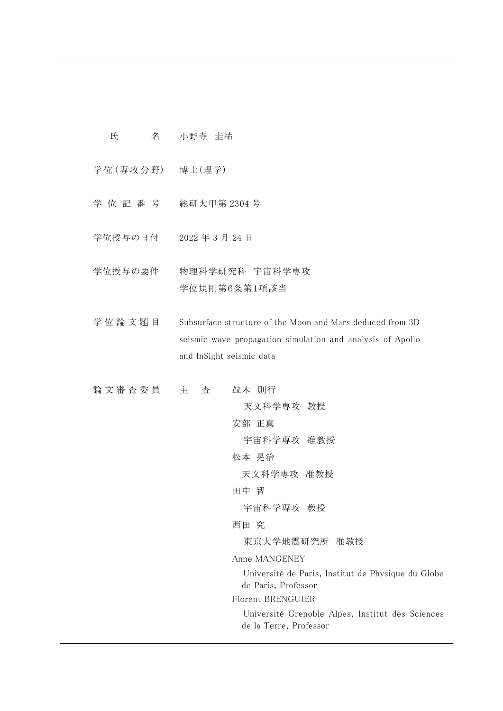| 氏             | 名 小野寺 圭祐                                                                                                                                                                                                                                                                                   |
|---------------|--------------------------------------------------------------------------------------------------------------------------------------------------------------------------------------------------------------------------------------------------------------------------------------------|
|               | 学位(専攻分野) 博士(理学)                                                                                                                                                                                                                                                                            |
|               | 学位記番号 総研大甲第2304号                                                                                                                                                                                                                                                                           |
|               | 学位授与の日付 2022年3月24日                                                                                                                                                                                                                                                                         |
| 学位授与の要件       | 物理科学研究科 宇宙科学専攻<br>学位規則第6条第1項該当                                                                                                                                                                                                                                                             |
| 学位論文題目        | Subsurface structure of the Moon and Mars deduced from 3D<br>seismic wave propagation simulation and analysis of Apollo<br>and InSight seismic data                                                                                                                                        |
| 論 文 審 査 委 員 主 | 査<br>並木 則行<br>天文科学専攻 教授<br>安部 正真<br>宇宙科学専攻 准教授<br>松本 晃治<br>天文科学専攻 准教授<br>田中 智<br>宇宙科学専攻 教授<br>西田 究<br>東京大学地震研究所 准教授<br>Anne MANGENEY<br>Université de Paris, Institut de Physique du Globe<br>de Paris, Professor<br>Florent BRENGUIER<br>Université Grenoble Alpes, Institut des Sciences |
|               | de la Terre, Professor                                                                                                                                                                                                                                                                     |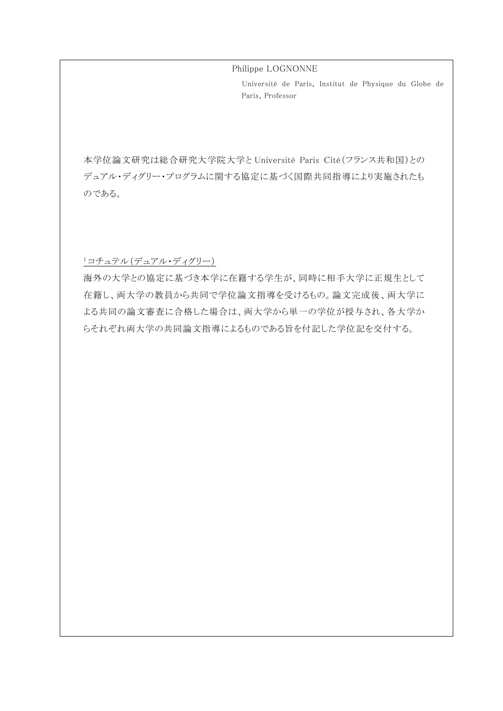Philippe LOGNONNE

Université de Paris, Institut de Physique du Globe de Paris, Professor

本学位論文研究は総合研究大学院大学と Université Paris Cité(フランス共和国)との デュアル・ディグリー・プログラムに関する協定に基づく国際共同指導により実施されたも のである。

## <sup>1</sup> コチュテル(デュアル・ディグリー)

海外の大学との協定に基づき本学に在籍する学生が、同時に相手大学に正規生として 在籍し、両大学の教員から共同で学位論文指導を受けるもの。論文完成後、両大学に よる共同の論文審査に合格した場合は、両大学から単一の学位が授与され、各大学か らそれぞれ両大学の共同論文指導によるものである旨を付記した学位記を交付する。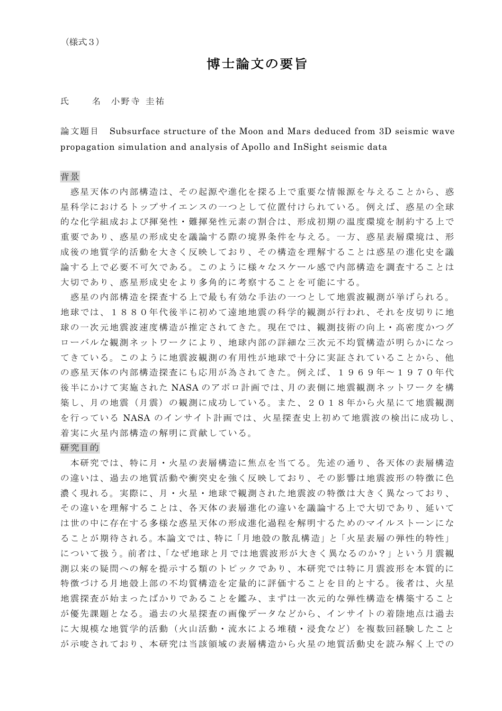# 博士論文の要旨

## 氏 名 小野寺 圭祐

論文題目 Subsurface structure of the Moon and Mars deduced from 3D seismic wave propagation simulation and analysis of Apollo and InSight seismic data

### 背景

惑星天体の内部構㐀は、その起源や進化を探る上で重要な情報源を与えることから、惑 星科学におけるトップサイエンスの一つとして位置付けられている。例えば、惑星の全球 的な化学組成および揮発性・難揮発性元素の割合は、形成初期の温度環境を制約する上で 重要であり、惑星の形成史を議論する際の境界条件を与える。一方、惑星表層環境は、形 成後の地質学的活動を大きく反映しており、その構㐀を理解することは惑星の進化史を議 論する上で必要不可欠である。このように様々なスケール感で内部構㐀を調査することは 大切であり、惑星形成史をより多角的に考察することを可能にする。

惑星の内部構㐀を探査する上で最も有効な手法の一つとして地震波観測が挙げられる。 地球では、1880年代後半に初めて遠地地震の科学的観測が行われ、それを皮切りに地 球の一次元地震波速度構造が推定されてきた。現在では、観測技術の向上・高密度かつグ ローバルな観測ネットワークにより、地球内部の詳細な三次元不均質構㐀が明らかになっ てきている。このように地震波観測の有用性が地球で十分に実証されていることから、他 の惑星天体の内部構造探査にも応用が為されてきた。例えば、1969年〜1970年代 後半にかけて実施された NASA のアポロ計画では、月の表側に地震観測ネットワークを構 築し、月の地震(月震)の観測に成功している。また、2018年から火星にて地震観測 を行っている NASA のインサイト計画では、火星探査史上初めて地震波の検出に成功し、 着実に火星内部構造の解明に貢献している。

## 研究目的

本研究では、特に月·火星の表層構造に焦点を当てる。先述の通り、各天体の表層構造 の違いは、過去の地質活動や衝突史を強く反映しており、その影響は地震波形の特徴に色 濃く現れる。実際に、月・火星・地球で観測された地震波の特徴は大きく異なっており、 その違いを理解することは、各天体の表層進化の違いを議論する上で大切であり、延いて は世の中に存在する多様な惑星天体の形成進化過程を解明するためのマイルストーンにな ることが期待される。本論文では、特に「月地殻の散乱構㐀」と「火星表層の弾性的特性」 について扱う。前者は、「なぜ地球と月では地震波形が大きく異なるのか?」という月震観 測以来の疑問への解を提示する類のトピックであり、本研究では特に月震波形を本質的に 特徴づける月地殻上部の不均質構㐀を定量的に評価することを目的とする。後者は、火星 地震探査が始まったばかりであることを鑑み、まずは一次元的な弾性構造を構築すること が優先課題となる。過去の火星探査の画像データなどから、インサイトの着陸地点は過去 に大規模な地質学的活動(火山活動・流水による堆積・浸食など)を複数回経験したこと が示唆されており、本研究は当該領域の表層構㐀から火星の地質活動史を読み解く上での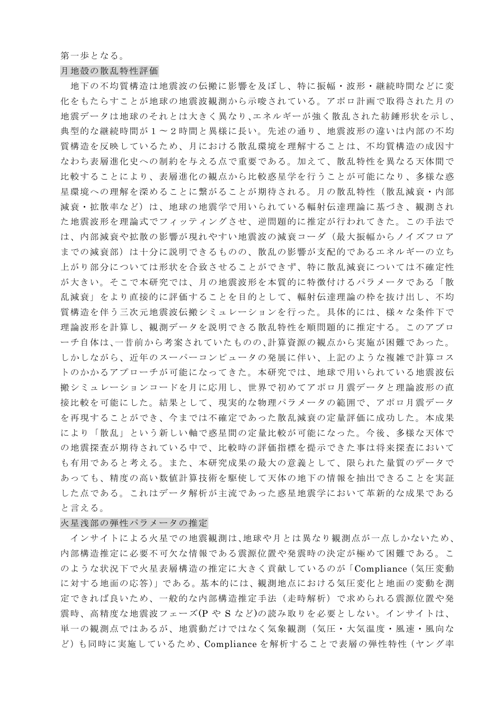#### 第一歩となる。

### 月地殻の散乱特性評価

地下の不均質構㐀は地震波の伝搬に影響を及ぼし、特に振幅・波形・継続時間などに変 化をもたらすことが地球の地震波観測から示唆されている。アポロ計画で取得された月の 地震データは地球のそれとは大きく異なり、エネルギーが強く散乱された紡錘形状を示し、 典型的な継続時間が1〜2時間と異様に長い。先述の通り、地震波形の違いは内部の不均 質構造を反映しているため、月における散乱環境を理解することは、不均質構造の成因す なわち表層進化史への制約を与える点で重要である。加えて、散乱特性を異なる天体間で 比較することにより、表層進化の観点から比較惑星学を行うことが可能になり、多様な惑 星環境への理解を深めることに繋がることが期待される。月の散乱特性(散乱減衰・内部 減衰・拡散率など)は、地球の地震学で用いられている輻射伝達理論に基づき、観測され た地震波形を理論式でフィッティングさせ、逆問題的に推定が行われてきた。この手法で は、内部減衰や拡散の影響が現れやすい地震波の減衰コーダ(最大振幅からノイズフロア までの減衰部)は十分に説明できるものの、散乱の影響が支配的であるエネルギーの立ち 上がり部分については形状を合致させることができず、特に散乱減衰については不確定性 が大きい。そこで本研究では、月の地震波形を本質的に特徴付けるパラメータである「散 乱減衰」をより直接的に評価することを目的として、輻射伝達理論の枠を抜け出し、不均 質構㐀を伴う三次元地震波伝搬シミュレーションを行った。具体的には、様々な条件下で 理論波形を計算し、観測データを説明できる散乱特性を順問題的に推定する。このアプロ ーチ自体は、一昔前から考案されていたものの、計算資源の観点から実施が困難であった。 しかしながら、近年のスーパーコンピュータの発展に伴い、上記のような複雑で計算コス トのかかるアプローチが可能になってきた。本研究では、地球で用いられている地震波伝 搬シミュレーションコードを月に応用し、世界で初めてアポロ月震データと理論波形の直 接比較を可能にした。結果として、現実的な物理パラメータの範囲で、アポロ月震データ を再現することができ、今までは不確定であった散乱減衰の定量評価に成功した。本成果 により「散乱」という新しい軸で惑星間の定量比較が可能になった。今後、多様な天体で の地震探査が期待されている中で、比較時の評価指標を提示できた事は将来探査において も有用であると考える。また、本研究成果の最大の意義として、限られた量質のデータで あっても、精度の高い数値計算技術を駆使して天体の地下の情報を抽出できることを実証 した点である。これはデータ解析が主流であった惑星地震学において革新的な成果である と言える。

### 火星浅部の弾性パラメータの推定

インサイトによる火星での地震観測は、地球や月とは異なり観測点が一点しかないため、 内部構㐀推定に必要不可欠な情報である震源位置や発震時の決定が極めて困難である。こ のような状況下で火星表層構造の推定に大きく貢献しているのが「Compliance (気圧変動 に対する地面の応答)」である。基本的には、観測地点における気圧変化と地面の変動を測 定できれば良いため、一般的な内部構㐀推定手法(走時解析)で求められる震源位置や発 震時、高精度な地震波フェーズ(P や S など)の読み取りを必要としない。インサイトは、 単一の観測点ではあるが、地震動だけではなく気象観測(気圧・大気温度・風速・風向な ど)も同時に実施しているため、Compliance を解析することで表層の弾性特性(ヤング率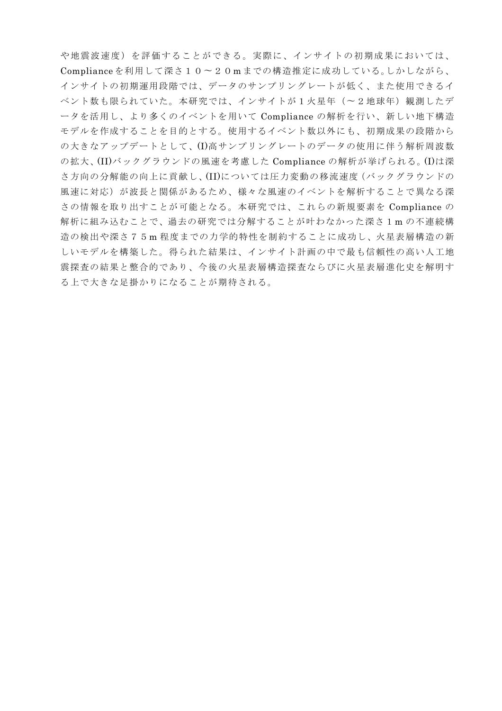や地震波㏿度)を評価することができる。実際に、インサイトの初期成果においては、 Compliance を利用して深さ10〜20m までの構㐀推定に成功している。しかしながら、 インサイトの初期運用段階では、データのサンプリングレートが低く、また使用できるイ ベント数も限られていた。本研究では、インサイトが1火星年(〜2地球年)観測したデ ータを活用し、より多くのイベントを用いて Compliance の解析を行い、新しい地下構造 モデルを作成することを目的とする。使用するイベント数以外にも、初期成果の段階から の大きなアップデートとして、(I)高サンプリングレートのデータの使用に伴う解析周波数 の拡大、(II)バックグラウンドの風㏿を考慮した Compliance の解析が挙げられる。(I)は深 さ方向の分解能の向上に貢献し、(II)については圧力変動の移流㏿度(バックグラウンドの 風速に対応)が波長と関係があるため、様々な風速のイベントを解析することで異なる深 さの情報を取り出すことが可能となる。本研究では、これらの新規要素を Compliance の 解析に組み込むことで、過去の研究では分解することが叶わなかった深さ1m の不連続構 造の検出や深さ75m程度までの力学的特性を制約することに成功し、火星表層構造の新 しいモデルを構築した。得られた結果は、インサイト計画の中で最も信頼性の高い人工地 震探査の結果と整合的であり、今後の火星表層構㐀探査ならびに火星表層進化史を解明す る上で大きな足掛かりになることが期待される。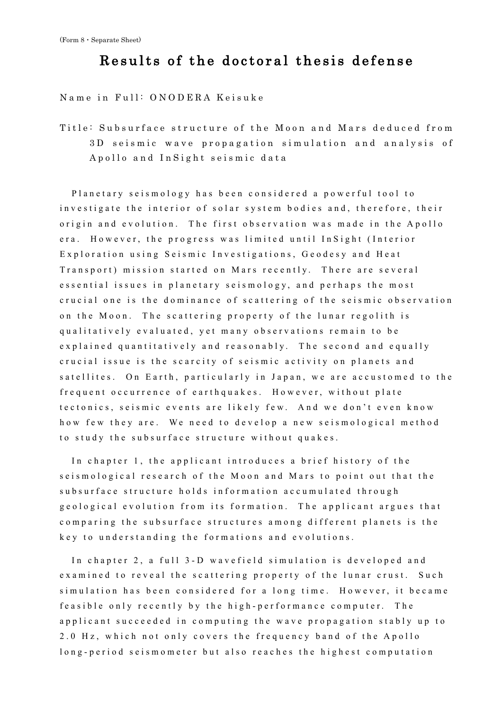# Results of the doctoral thesis defense

Name in Full: ONODERA Keisuke

Title: Subsurface structure of the Moon and Mars deduced from 3D seismic wave propagation simulation and analysis of Apollo and InSight seismic data

Planetary s eismology has been considered a powerful tool to investigate the interior of solar system bodies and, therefore, their origin and evolution. The first observation was made in the Apollo era. However, the progress was limited until InSight (Interior Exploration using Seismic Investigations, Geodesy and Heat Transport) mission started on Mars recently. There are several essential issues in planetary seismology, and perhaps the most crucial one is the dominance of scattering of the seismic observation on the Moon. The scattering property of the lunar regolith is qualitatively evaluated, yet many obs ervations remain to be explained quantitatively and reasonably. The second and equally crucial issue is the scarcity of seismic activity on planets and satellites. On Earth, particularly in Japan, we are accustomed to the frequent occurrence of earthquakes. However, without plate tectonics, seismic events are likely few. And we don't even know how few they are. We need to develop a new seismological method to study the subsurface structure without quakes.

In chapter 1, the applicant introduces a brief history of the seismological research of the Moon and Mars to point out that the subsurface structure holds information accumulated through geological evolution from its formation . The applicant argues that comparing the subsurface structures among different planets is the key to understanding the formations and evolutions.

In chapter 2, a full 3-D wavefield simulation is developed and examined to reveal the scattering property of the lunar crust. Such simulation has been considered for a long time. However, it became feasible only recently by the high-performance computer. The applicant succeeded in computing the wave propagation stably up to 2.0 Hz, which not only covers the frequency band of the Apollo long - period seismometer but also reaches the highest computation